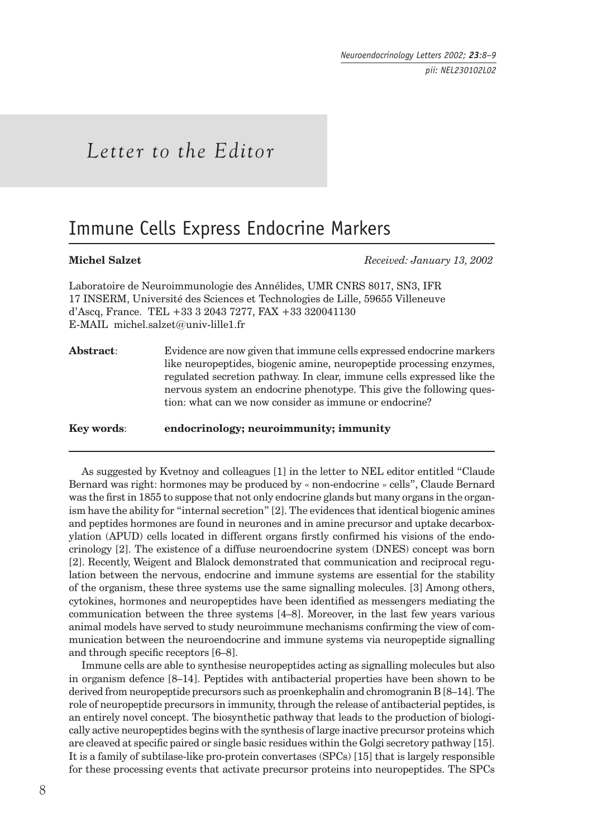# *Letter to the Editor*

## Immune Cells Express Endocrine Markers

**Michel Salzet** *Received: January 13, 2002*

Laboratoire de Neuroimmunologie des Annélides, UMR CNRS 8017, SN3, IFR 17 INSERM, Université des Sciences et Technologies de Lille, 59655 Villeneuve d'Ascq, France. TEL +33 3 2043 7277, FAX +33 320041130 E-MAIL michel.salzet@univ-lille1.fr

**Abstract**: Evidence are now given that immune cells expressed endocrine markers like neuropeptides, biogenic amine, neuropeptide processing enzymes, regulated secretion pathway. In clear, immune cells expressed like the nervous system an endocrine phenotype. This give the following question: what can we now consider as immune or endocrine?

**Key words**: **endocrinology; neuroimmunity; immunity**

As suggested by Kvetnoy and colleagues [1] in the letter to NEL editor entitled "Claude Bernard was right: hormones may be produced by « non-endocrine » cells", Claude Bernard was the first in 1855 to suppose that not only endocrine glands but many organs in the organism have the ability for "internal secretion" [2]. The evidences that identical biogenic amines and peptides hormones are found in neurones and in amine precursor and uptake decarboxylation (APUD) cells located in different organs firstly confirmed his visions of the endocrinology [2]. The existence of a diffuse neuroendocrine system (DNES) concept was born [2]. Recently, Weigent and Blalock demonstrated that communication and reciprocal regulation between the nervous, endocrine and immune systems are essential for the stability of the organism, these three systems use the same signalling molecules. [3] Among others, cytokines, hormones and neuropeptides have been identified as messengers mediating the communication between the three systems [4–8]. Moreover, in the last few years various animal models have served to study neuroimmune mechanisms confirming the view of communication between the neuroendocrine and immune systems via neuropeptide signalling and through specific receptors  $[6-8]$ .

Immune cells are able to synthesise neuropeptides acting as signalling molecules but also in organism defence [8–14]. Peptides with antibacterial properties have been shown to be derived from neuropeptide precursors such as proenkephalin and chromogranin B [8–14]. The role of neuropeptide precursors in immunity, through the release of antibacterial peptides, is an entirely novel concept. The biosynthetic pathway that leads to the production of biologically active neuropeptides begins with the synthesis of large inactive precursor proteins which are cleaved at specific paired or single basic residues within the Golgi secretory pathway [15]. It is a family of subtilase-like pro-protein convertases (SPCs) [15] that is largely responsible for these processing events that activate precursor proteins into neuropeptides. The SPCs